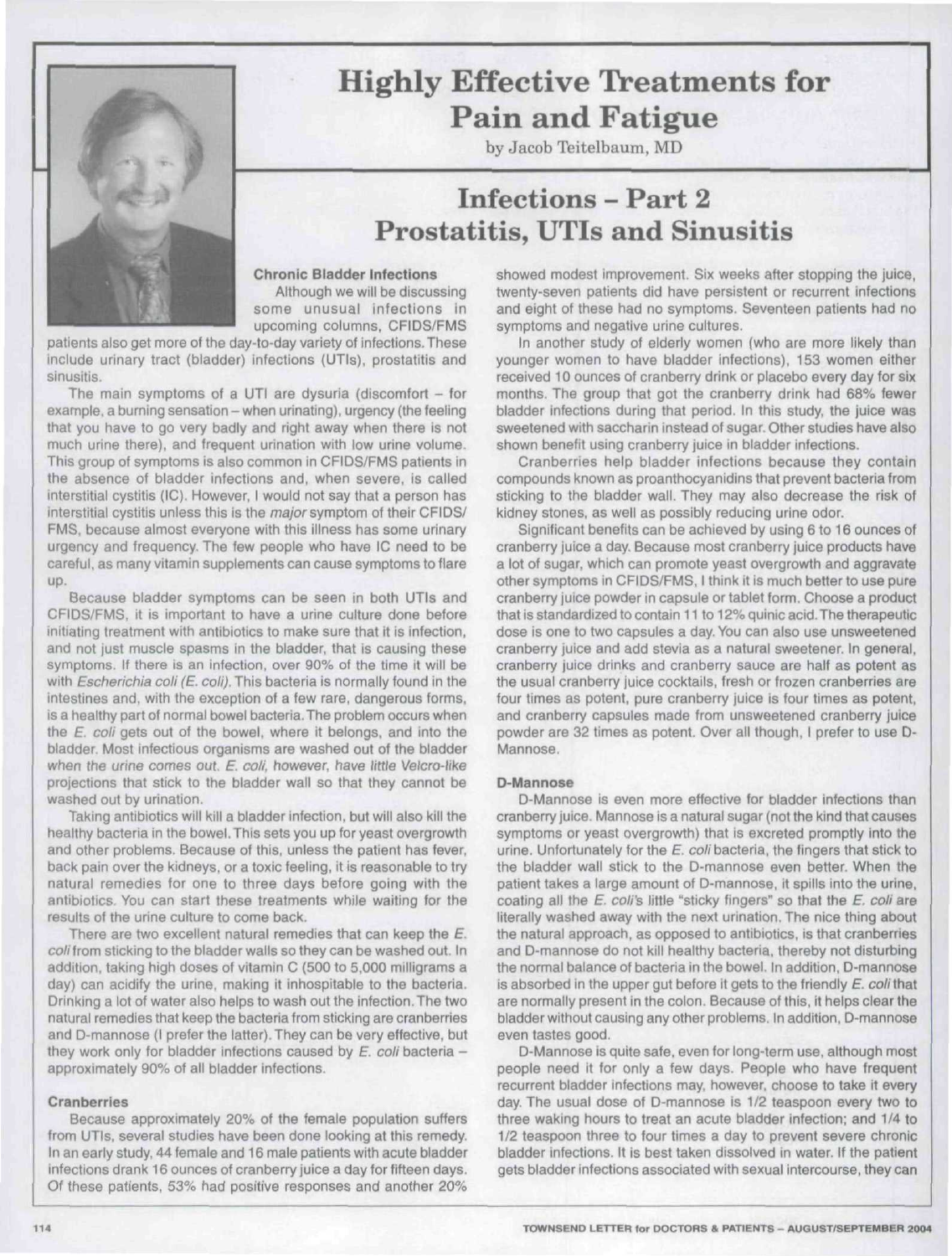

# Highly Effective Treatments for Pain and Fatigue

by Jacob Teitelbaum, MD

## Infections - Part 2 Prostatitis, UTIs and Sinusitis

### **Chronic Bladder Infections**

Although we will be discussing some unusual infections in upcoming columns, CFIDS/FMS

patients also get more of the day-to-day variety of infections. These include urinary tract (bladder) infections (UTIs), prostatitis and sinusitis.

The main symptoms of a UTI are dysuria (discomfort - for example, a burning sensation - when urinating), urgency (the feeling that you have to go very badly and right away when there is not much urine there), and frequent urination with low urine volume. This group of symptoms is also common in CFIDS/FMS patients in the absence of bladder infections and. when severe, is called interstitial cystitis (IC). However, I would not say that a person has interstitial cystitis unless this is the major symptom of their CFIDS/ FMS, because almost everyone with this illness has some urinary urgency and frequency. The few people who have IC need to be careful, as many vitamin supplements can cause symptoms to flare up.

Because bladder symptoms can be seen in both UTIs and CFIDS/FMS. it is important to have a urine culture done before initiating treatment with antibiotics to make sure that it is infection, and not just muscle spasms in the bladder, that is causing these symptoms. If there is an infection, over 90% of the time it will be with *Escherichia coli (E. coli)*. This bacteria is normally found in the intestines and. with the exception of a few rare, dangerous forms. is a healthy part of normal bowel bacteria. The problem occurs when the E. coli gets out of the bowel, where it belongs, and into the bladder. Most infectious organisms are washed out of the bladder when the urine comes out. E. coli, however, have little Velcro-like projections that stick to the bladder wall so that they cannot be washed out by urination.

Taking antibiotics wilt kill a bladder infection, but will also kill the healthy bacteria in the bowel. This sets you up for yeast overgrowth and other problems. Because of this, unless the patient has fever, back pain over the kidneys, or a toxic feeling, it is reasonable to try natural remedies for one to three days before going with the antibiotics. You can start these treatments while waiting for the results of the urine culture to come back.

There are two excellent natural remedies that can keep the E. coli from sticking to the bladder walls so they can be washed out. In addition, taking high doses of vitamin C (500 to 5,000 milligrams a day) can acidify the urine, making it inhospitable to the bacteria. Drinking a lot of water also helps to wash out the infection. The two natural remedies that keep the bacteria from sticking are cranberries and D-mannose (I prefer the latter). They can be very effective, but they work only for bladder infections caused by  $E$ . coli bacteria approximately 90% of all bladder infections.

#### **Cranberries**

Because approximately 20% of the female population suffers from UTIs. several studies have been done looking at this remedy. In an early study, 44 female and 16 male patients with acute bladder infections drank 16 ounces of cranberry juice a day for fifteen days. Of these patients, 53% had positive responses and another 20% showed modest improvement. Six weeks after stopping the juice, twenty-seven patients did have persistent or recurrent infections and eight of these had no symptoms. Seventeen patients had no symptoms and negative urine cultures.

In another study of elderly women (who are more likely than younger women to have bladder infections), 153 women either received 10 ounces of cranberry drink or placebo every day for six months. The group that got the cranberry drink had 68% fewer bladder infections during that period. In this study, the juice was sweetened with saccharin instead of sugar. Other studies have also shown benefit using cranberry juice in bladder infections.

Cranberries help bladder infections because they contain compounds known as proanthocyanidins that prevent bacteria from sticking to the bladder wall. They may also decrease the risk of kidney stones, as well as possibly reducing urine odor.

Significant benefits can be achieved by using 6 to 16 ounces of cranberry juice a day. Because most cranberry juice products have a lot of sugar, which can promote yeast overgrowth and aggravate other symptoms in CFIDS/FMS. I think it is much better to use pure cranberry juice powder in capsule or tablet form. Choose a product that is standardized to contain 11 to 12% quinic acid. The therapeutic dose is one to two capsules a day. You can also use unsweetened cranberry juice and add stevia as a natural sweetener. In general, cranberry juice drinks and cranberry sauce are half as potent as the usual cranberry juice cocktails, fresh or frozen cranberries are four times as potent, pure cranberry juice is four times as potent, and cranberry capsules made from unsweetened cranberry juice powder are 32 times as potent. Over all though, I prefer to use D-Mannose.

#### **D-Mannose**

D-Mannose is even more effective for bladder infections than cranberry juice. Mannose is a natural sugar (not the kind that causes symptoms or yeast overgrowth) that is excreted promptly into the urine. Unfortunately for the E. coli bacteria, the fingers that stick to the bladder wall stick to the D-mannose even better. When the patient takes a large amount of D-mannose, it spills into the urine, coating all the E. coil's little "sticky fingers" so that the E. coli **are** literally washed away with the next urination. The nice thing about the natural approach, as opposed to antibiotics, is that cranberries and D-mannose do not kill healthy bacteria, thereby not disturbing the normal balance of bacteria in the bowel. In addition, D-mannose is absorbed in the upper gut before it gets to the friendly E. coli that are normally present in the colon. Because of this, it helps clear the bladder without causing any other problems. In addition, D-mannose even tastes good.

D-Mannose is quite safe, even for long-term use, although most people need it for only a few days. People who have frequent recurrent bladder infections may. however, choose to take it every day. The usual dose of D-mannose is 1/2 teaspoon every two to three waking hours to treat an acute bladder infection; and 1/4 to 1/2 teaspoon three to four times a day to prevent severe chronic bladder infections. It is best taken dissolved in water. If the patient gets bladder infections associated with sexual intercourse, they can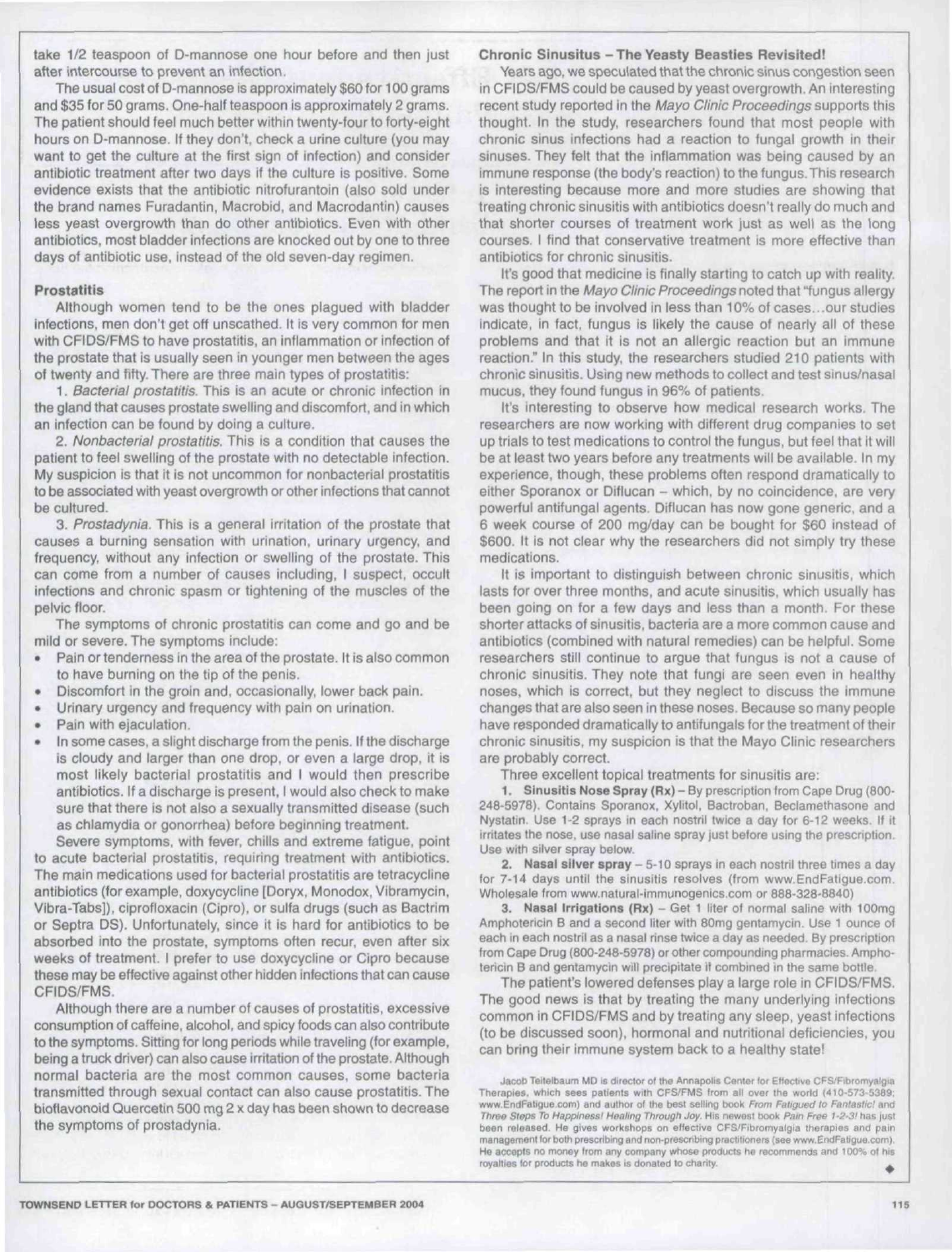take 1/2 teaspoon of D-mannose one hour before and then just after intercourse to prevent an infection.

The usual cost of D-mannose is approximately \$60 for 100 grams and \$35 for 50 grams. One-half teaspoon is approximately 2 grams. The patient should feel much better within twenty-four to forty-eight hours on D-mannose. If they don't, check a urine culture (you may want to get the culture at the first sign of infection) and consider antibiotic treatment after two days if the culture is positive. Some evidence exists that the antibiotic nitrofurantoin (also sold under the brand names Furadantin, Macrobid, and Macrodantin) causes less yeast overgrowth than do other antibiotics. Even with other antibiotics, most bladder infections are knocked out by one to three days of antibiotic use, instead of the old seven-day regimen.

#### Prostatitis

Although women tend to be the ones plagued with bladder infections, men don't get off unscathed. It is very common for men with CFIDS/FMS to have prostatitis, an inflammation or infection of the prostate that is usually seen in younger men between the ages of twenty and fifty. There are three main types of prostatitis:

1. Bacterial prostatitis. This is an acute or chronic infection in the gland that causes prostate swelling and discomfort, and in which an infection can be found by doing a culture.

2. Nonbacterial prostatitis. This is a condition that causes the patient to feel swelling of the prostate with no detectable infection. My suspicion is that it is not uncommon for nonbacterial prostatifis to be associated with yeast overgrowth or other infections that cannot be cultured.

3. Prostadynia. This is a general irritation of the prostate that causes a burning sensation with urination, urinary urgency, and frequency, without any infection or swelling of the prostate. This can come from a number of causes including, I suspect, occult infections and chronic spasm or tightening of the muscles of the pelvic floor.

The symptoms of chronic prostatitis can come and go and be mild or severe. The symptoms include:

- Pain or tenderness in the area of the prostate. It is also common to have burning on the tip of the penis.
- Discomfort in the groin and. occasionally, lower back pain.
- Urinary urgency and frequency with pain on urination.
- Pain with ejaculation.
- In some cases, a slight discharge from the penis. If the discharge is cloudy and larger than one drop, or even a large drop, it is most likely bacterial prostatitis and I would then prescribe antibiotics. If a discharge is present, I would also check to make sure that there is not also a sexually transmitted disease (such as chlamydia or gonorrhea) before beginning treatment.

Severe symptoms, with fever, chills and extreme fatigue, point to acute bacterial prostatitis. requiring treatment with antibiotics. The main medications used for bacterial prostatitis are tetracycline antibiotics (for example, doxycycline [Doryx, Monodox, Vibramycin, Vibra-Tabs]), ciprofloxacin (Cipro), or sulfa drugs (such as Bactrim or Septra OS). Unfortunately, since it is hard for antibiotics to be absorbed into the prostate, symptoms often recur, even after six weeks of treatment. I prefer to use doxycycline or Cipro because these may be effective against other hidden infections that can cause CFIDS/FMS.

Although there are a number of causes of prostatitis, excessive consumption of caffeine, alcohol, and spicy foods can also contribute to the symptoms. Sitting for long periods while traveling {for example, being a truck driver) can also cause irritation of the prostate. Although normal bacteria are the most common causes, some bacteria transmitted through sexual contact can also cause prostatitis. The biofiavonoid Quercetin 500 mg 2 x day has been shown to decrease the symptoms of prostadynia.

#### **Chronic Sinusitus - The Yeasty Beasties Revisited!**

Years ago, we speculated that the chronic sinus congestion seen in CFIDS/FMS could be caused by yeast overgrowth. An interesting recent study reported in the Mayo Clinic Proceedings supports this thought. In the study, researchers found that most people with chronic sinus infections had a reaction to fungal growth in their sinuses. They felt that the inflammation was being caused by an immune response (the body's reaction) to the fungus. This research is interesting because more and more studies are showing that treating chronic sinusitis with antibiotics doesn't really do much and that shorter courses of treatment work just as well as the long courses. I find that conservative treatment is more effective than antibiotics for chronic sinusitis.

It's good that medicine is finally starting to catch up with reality. The report in the Mayo Clinic Proceedings noted that "fungus allergy was thought to be involved in less than 10% of cases.. .our studies indicate, in fact, fungus is likely the cause of nearly all of these problems and that it is not an allergic reaction but an immune reaction." In this study, the researchers studied 210 patients with chronic sinusitis. Using new methods to collect and test sinus/nasal mucus, they found fungus in 96% of patients.

It's interesting to observe how medical research works. The researchers are now working with different drug companies to set up trials to test medications to control the fungus, but feel that it will be at least two years before any treatments will be available. In my experience, though, these problems often respond dramatically to either Sporanox or Diflucan - which, by no coincidence, are very powerful antifungal agents. Diflucan has now gone generic, and a 6 week course of 200 mg/day can be bought for \$60 instead of \$600. It is not clear why the researchers did not simply try these medications.

It is important to distinguish between chronic sinusitis, which lasts for over three months, and acute sinusitis, which usually has been going on for a few days and less than a month. For these shorter attacks of sinusitis, bacteria are a more common cause and antibiotics (combined with natural remedies) can be helpful. Some researchers still continue to argue that fungus is not a cause of chronic sinusitis. They note that fungi are seen even in healthy noses, which is correct, but they neglect to discuss the immune changes that are also seen in these noses. Because so many people have responded dramatically to antifungals for the treatment of their chronic sinusitis, my suspicion is that the Mayo Clinic researchers are probably correct.

Three excellent topical treatments for sinusitis are:

1. Sinusitis Nose Spray (Rx) - By prescription from Cape Drug (800-248-5976). Contains Sporanox, Xylitol. Bactroban, Beclamethasone and Nystatin. Use 1-2 sprays in each nostril twice a day for 6-12 weeks. If it irritates the nose, use nasal saline spray just before using the prescription. Use with silver spray below.

**2. Nasal** silver spray ~ 5-10 sprays in each nostril three times a day for 7-14 days until the sinusitis resolves (from www.EndFatigue.com. Wholesale from www.natural-immunogenics.com or 888-328-8B40)

3. Nasal Irrigations (Rx) - Get 1 liter of normal saline with 100mg Amphotericin B and a second liter with 80mg gentamycin. Use 1 ounce of each in each nostril as a nasal rinse twice a day as needed. By prescription from Cape Drug (800-248-5978) or other compounding pharmacies. Amphotericin B and gentamycin will precipitate if combined in the same bottle.

The patient's lowered defenses play a large role in CFIDS/FMS. The good news is that by treating the many underlying infections common in CFIDS/FMS and by treating any sleep, yeast infections (to be discussed soon), hormonal and nutritional deficiencies, you can bring their immune system back to a healthy state!

Jacob Teltelbaum MD is director of the Annapolis Center for Effective CFS/Fibromyalgia Therapies, which sees patients with CFS/FMS from all over the world (410-573-5389;<br>www.EndFatigue.com) and author of the best selling book From Fatigued to Fantastic! and<br>Three Steps To Happiness! Healing Through Joy. His been released. He gives workshops on effective CFS/Fibromyalgia therapies and pain management for both prescribing and non-prescribing practitioners (see www.EndFatigue.com). He accepts no money from any company whose products he recommends and 100% of his royalties for products he makes is donated to charity.